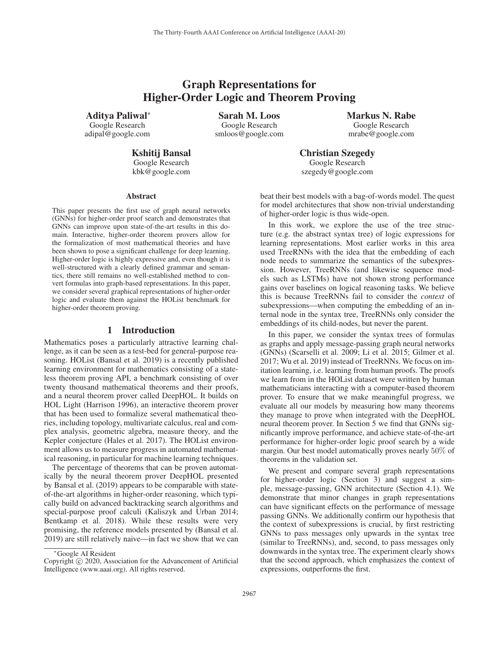# Graph Representations for Higher-Order Logic and Theorem Proving

Aditya Paliwal<sup>∗</sup> Google Research adipal@google.com

Sarah M. Loos Google Research smloos@google.com Markus N. Rabe Google Research mrabe@google.com

Kshitij Bansal Google Research kbk@google.com

Christian Szegedy Google Research szegedy@google.com

#### Abstract

This paper presents the first use of graph neural networks (GNNs) for higher-order proof search and demonstrates that GNNs can improve upon state-of-the-art results in this domain. Interactive, higher-order theorem provers allow for the formalization of most mathematical theories and have been shown to pose a significant challenge for deep learning. Higher-order logic is highly expressive and, even though it is well-structured with a clearly defined grammar and semantics, there still remains no well-established method to convert formulas into graph-based representations. In this paper, we consider several graphical representations of higher-order logic and evaluate them against the HOList benchmark for higher-order theorem proving.

### 1 Introduction

Mathematics poses a particularly attractive learning challenge, as it can be seen as a test-bed for general-purpose reasoning. HOList (Bansal et al. 2019) is a recently published learning environment for mathematics consisting of a stateless theorem proving API, a benchmark consisting of over twenty thousand mathematical theorems and their proofs, and a neural theorem prover called DeepHOL. It builds on HOL Light (Harrison 1996), an interactive theorem prover that has been used to formalize several mathematical theories, including topology, multivariate calculus, real and complex analysis, geometric algebra, measure theory, and the Kepler conjecture (Hales et al. 2017). The HOList environment allows us to measure progress in automated mathematical reasoning, in particular for machine learning techniques.

The percentage of theorems that can be proven automatically by the neural theorem prover DeepHOL presented by Bansal et al. (2019) appears to be comparable with stateof-the-art algorithms in higher-order reasoning, which typically build on advanced backtracking search algorithms and special-purpose proof calculi (Kaliszyk and Urban 2014; Bentkamp et al. 2018). While these results were very promising, the reference models presented by (Bansal et al. 2019) are still relatively naive—in fact we show that we can

beat their best models with a bag-of-words model. The quest for model architectures that show non-trivial understanding of higher-order logic is thus wide-open.

In this work, we explore the use of the tree structure (e.g. the abstract syntax tree) of logic expressions for learning representations. Most earlier works in this area used TreeRNNs with the idea that the embedding of each node needs to summarize the semantics of the subexpression. However, TreeRNNs (and likewise sequence models such as LSTMs) have not shown strong performance gains over baselines on logical reasoning tasks. We believe this is because TreeRNNs fail to consider the *context* of subexpressions—when computing the embedding of an internal node in the syntax tree, TreeRNNs only consider the embeddings of its child-nodes, but never the parent.

In this paper, we consider the syntax trees of formulas as graphs and apply message-passing graph neural networks (GNNs) (Scarselli et al. 2009; Li et al. 2015; Gilmer et al. 2017; Wu et al. 2019) instead of TreeRNNs. We focus on imitation learning, i.e. learning from human proofs. The proofs we learn from in the HOList dataset were written by human mathematicians interacting with a computer-based theorem prover. To ensure that we make meaningful progress, we evaluate all our models by measuring how many theorems they manage to prove when integrated with the DeepHOL neural theorem prover. In Section 5 we find that GNNs significantly improve performance, and achieve state-of-the-art performance for higher-order logic proof search by a wide margin. Our best model automatically proves nearly 50% of theorems in the validation set.

We present and compare several graph representations for higher-order logic (Section 3) and suggest a simple, message-passing, GNN architecture (Section 4.1). We demonstrate that minor changes in graph representations can have significant effects on the performance of message passing GNNs. We additionally confirm our hypothesis that the context of subexpressions is crucial, by first restricting GNNs to pass messages only upwards in the syntax tree (similar to TreeRNNs), and, second, to pass messages only downwards in the syntax tree. The experiment clearly shows that the second approach, which emphasizes the context of expressions, outperforms the first.

<sup>∗</sup>Google AI Resident

Copyright  $\odot$  2020, Association for the Advancement of Artificial Intelligence (www.aaai.org). All rights reserved.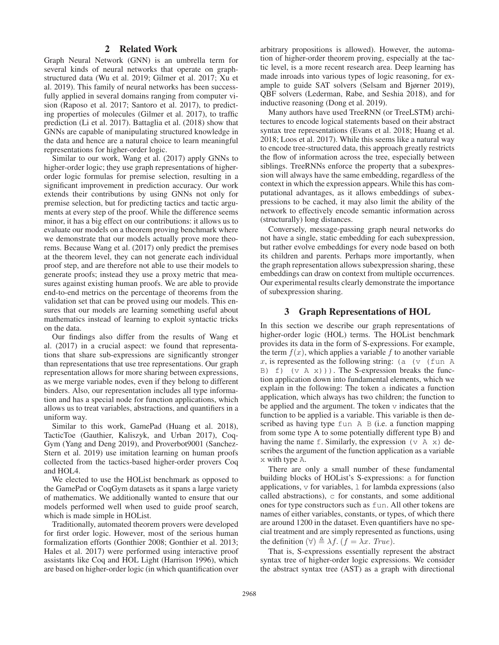## 2 Related Work

Graph Neural Network (GNN) is an umbrella term for several kinds of neural networks that operate on graphstructured data (Wu et al. 2019; Gilmer et al. 2017; Xu et al. 2019). This family of neural networks has been successfully applied in several domains ranging from computer vision (Raposo et al. 2017; Santoro et al. 2017), to predicting properties of molecules (Gilmer et al. 2017), to traffic prediction (Li et al. 2017). Battaglia et al. (2018) show that GNNs are capable of manipulating structured knowledge in the data and hence are a natural choice to learn meaningful representations for higher-order logic.

Similar to our work, Wang et al. (2017) apply GNNs to higher-order logic; they use graph representations of higherorder logic formulas for premise selection, resulting in a significant improvement in prediction accuracy. Our work extends their contributions by using GNNs not only for premise selection, but for predicting tactics and tactic arguments at every step of the proof. While the difference seems minor, it has a big effect on our contributions: it allows us to evaluate our models on a theorem proving benchmark where we demonstrate that our models actually prove more theorems. Because Wang et al. (2017) only predict the premises at the theorem level, they can not generate each individual proof step, and are therefore not able to use their models to generate proofs; instead they use a proxy metric that measures against existing human proofs. We are able to provide end-to-end metrics on the percentage of theorems from the validation set that can be proved using our models. This ensures that our models are learning something useful about mathematics instead of learning to exploit syntactic tricks on the data.

Our findings also differ from the results of Wang et al. (2017) in a crucial aspect: we found that representations that share sub-expressions are significantly stronger than representations that use tree representations. Our graph representation allows for more sharing between expressions, as we merge variable nodes, even if they belong to different binders. Also, our representation includes all type information and has a special node for function applications, which allows us to treat variables, abstractions, and quantifiers in a uniform way.

Similar to this work, GamePad (Huang et al. 2018), TacticToe (Gauthier, Kaliszyk, and Urban 2017), Coq-Gym (Yang and Deng 2019), and Proverbot9001 (Sanchez-Stern et al. 2019) use imitation learning on human proofs collected from the tactics-based higher-order provers Coq and HOL4.

We elected to use the HOList benchmark as opposed to the GamePad or CoqGym datasets as it spans a large variety of mathematics. We additionally wanted to ensure that our models performed well when used to guide proof search, which is made simple in HOList.

Traditionally, automated theorem provers were developed for first order logic. However, most of the serious human formalization efforts (Gonthier 2008; Gonthier et al. 2013; Hales et al. 2017) were performed using interactive proof assistants like Coq and HOL Light (Harrison 1996), which are based on higher-order logic (in which quantification over

arbitrary propositions is allowed). However, the automation of higher-order theorem proving, especially at the tactic level, is a more recent research area. Deep learning has made inroads into various types of logic reasoning, for example to guide SAT solvers (Selsam and Bjørner 2019), QBF solvers (Lederman, Rabe, and Seshia 2018), and for inductive reasoning (Dong et al. 2019).

Many authors have used TreeRNN (or TreeLSTM) architectures to encode logical statements based on their abstract syntax tree representations (Evans et al. 2018; Huang et al. 2018; Loos et al. 2017). While this seems like a natural way to encode tree-structured data, this approach greatly restricts the flow of information across the tree, especially between siblings. TreeRNNs enforce the property that a subexpression will always have the same embedding, regardless of the context in which the expression appears. While this has computational advantages, as it allows embeddings of subexpressions to be cached, it may also limit the ability of the network to effectively encode semantic information across (structurally) long distances.

Conversely, message-passing graph neural networks do not have a single, static embedding for each subexpression, but rather evolve embeddings for every node based on both its children and parents. Perhaps more importantly, when the graph representation allows subexpression sharing, these embeddings can draw on context from multiple occurrences. Our experimental results clearly demonstrate the importance of subexpression sharing.

## 3 Graph Representations of HOL

In this section we describe our graph representations of higher-order logic (HOL) terms. The HOList benchmark provides its data in the form of S-expressions. For example, the term  $f(x)$ , which applies a variable f to another variable x, is represented as the following string: (a) (v) (fun A B) f)  $(v \land x)$ ). The S-expression breaks the function application down into fundamental elements, which we explain in the following: The token a indicates a function application, which always has two children; the function to be applied and the argument. The token  $\nu$  indicates that the function to be applied is a variable. This variable is then described as having type fun A B (i.e. a function mapping from some type A to some potentially different type B) and having the name f. Similarly, the expression  $(v \land x)$  describes the argument of the function application as a variable x with type A.

There are only a small number of these fundamental building blocks of HOList's S-expressions: a for function applications,  $\nu$  for variables,  $\perp$  for lambda expressions (also called abstractions), c for constants, and some additional ones for type constructors such as fun. All other tokens are names of either variables, constants, or types, of which there are around 1200 in the dataset. Even quantifiers have no special treatment and are simply represented as functions, using the definition  $(\forall) \triangleq \lambda f$ .  $(f = \lambda x$ . True).<br>That is Sexpressions essentially repr

That is, S-expressions essentially represent the abstract syntax tree of higher-order logic expressions. We consider the abstract syntax tree (AST) as a graph with directional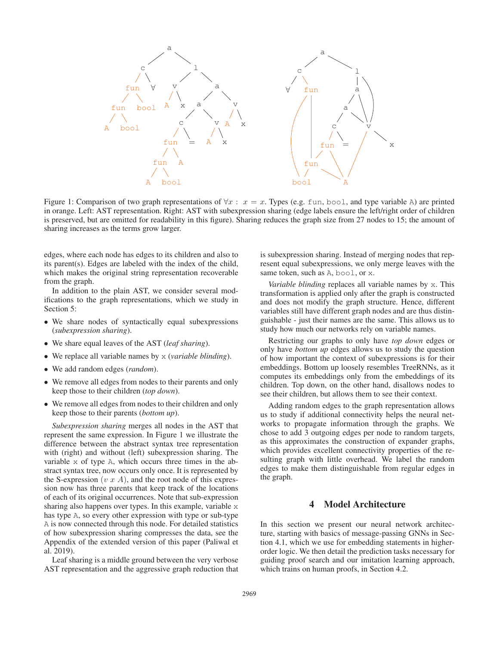

Figure 1: Comparison of two graph representations of  $\forall x : x = x$ . Types (e.g. fun, bool, and type variable A) are printed in orange. Left: AST representation. Right: AST with subexpression sharing (edge labels ensure the left/right order of children is preserved, but are omitted for readability in this figure). Sharing reduces the graph size from 27 nodes to 15; the amount of sharing increases as the terms grow larger.

edges, where each node has edges to its children and also to its parent(s). Edges are labeled with the index of the child, which makes the original string representation recoverable from the graph.

In addition to the plain AST, we consider several modifications to the graph representations, which we study in Section 5:

- We share nodes of syntactically equal subexpressions (*subexpression sharing*).
- We share equal leaves of the AST (*leaf sharing*).
- We replace all variable names by x (*variable blinding*).
- We add random edges (*random*).
- We remove all edges from nodes to their parents and only keep those to their children (*top down*).
- We remove all edges from nodes to their children and only keep those to their parents (*bottom up*).

*Subexpression sharing* merges all nodes in the AST that represent the same expression. In Figure 1 we illustrate the difference between the abstract syntax tree representation with (right) and without (left) subexpression sharing. The variable x of type A, which occurs three times in the abstract syntax tree, now occurs only once. It is represented by the S-expression (v  $x$  A), and the root node of this expression now has three parents that keep track of the locations of each of its original occurrences. Note that sub-expression sharing also happens over types. In this example, variable x has type A, so every other expression with type or sub-type A is now connected through this node. For detailed statistics of how subexpression sharing compresses the data, see the Appendix of the extended version of this paper (Paliwal et al. 2019).

Leaf sharing is a middle ground between the very verbose AST representation and the aggressive graph reduction that is subexpression sharing. Instead of merging nodes that represent equal subexpressions, we only merge leaves with the same token, such as A, bool, or x.

*Variable blinding* replaces all variable names by x. This transformation is applied only after the graph is constructed and does not modify the graph structure. Hence, different variables still have different graph nodes and are thus distinguishable - just their names are the same. This allows us to study how much our networks rely on variable names.

Restricting our graphs to only have *top down* edges or only have *bottom up* edges allows us to study the question of how important the context of subexpressions is for their embeddings. Bottom up loosely resembles TreeRNNs, as it computes its embeddings only from the embeddings of its children. Top down, on the other hand, disallows nodes to see their children, but allows them to see their context.

Adding random edges to the graph representation allows us to study if additional connectivity helps the neural networks to propagate information through the graphs. We chose to add 3 outgoing edges per node to random targets, as this approximates the construction of expander graphs, which provides excellent connectivity properties of the resulting graph with little overhead. We label the random edges to make them distinguishable from regular edges in the graph.

## 4 Model Architecture

In this section we present our neural network architecture, starting with basics of message-passing GNNs in Section 4.1, which we use for embedding statements in higherorder logic. We then detail the prediction tasks necessary for guiding proof search and our imitation learning approach, which trains on human proofs, in Section 4.2.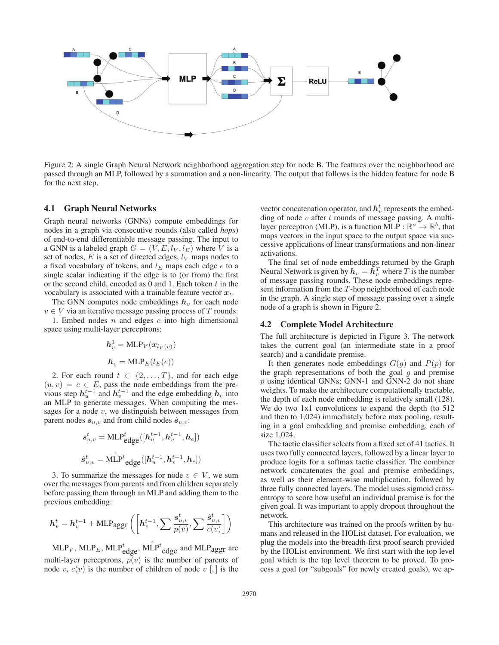

Figure 2: A single Graph Neural Network neighborhood aggregation step for node B. The features over the neighborhood are passed through an MLP, followed by a summation and a non-linearity. The output that follows is the hidden feature for node B for the next step.

#### 4.1 Graph Neural Networks

Graph neural networks (GNNs) compute embeddings for nodes in a graph via consecutive rounds (also called *hops*) of end-to-end differentiable message passing. The input to a GNN is a labeled graph  $G = (V, E, l_V, l_E)$  where V is a set of nodes,  $E$  is a set of directed edges,  $l_V$  maps nodes to a fixed vocabulary of tokens, and  $l_E$  maps each edge e to a single scalar indicating if the edge is to (or from) the first or the second child, encoded as  $0$  and  $1$ . Each token  $t$  in the vocabulary is associated with a trainable feature vector  $x_t$ .

The GNN computes node embeddings  $h_v$  for each node  $v \in V$  via an iterative message passing process of T rounds:

1. Embed nodes  $n$  and edges  $e$  into high dimensional space using multi-layer perceptrons:

$$
h_v^1 = \text{MLP}_V(\boldsymbol{x}_{l_V(v)})
$$

$$
h_e = \text{MLP}_E(l_E(e))
$$

2. For each round  $t \in \{2, ..., T\}$ , and for each edge  $(u, v) = e \in E$ , pass the node embeddings from the previous step  $h_u^{t-1}$  and  $h_v^{t-1}$  and the edge embedding  $h_e$  into an MLP to generate messages. When computing the messages for a node  $v$ , we distinguish between messages from parent nodes  $s_{u,v}$  and from child nodes  $\hat{s}_{u,v}$ :

$$
\begin{aligned} \label{eq:state} &\boldsymbol{s}_{u,v}^t = \text{MLP}_{\text{edge}}^t([h_u^{t-1}, h_v^{t-1}, h_e]) \\ &\boldsymbol{\hat{s}}_{u,v}^t = \text{MLP}^t_{\text{edge}}([h_u^{t-1}, h_v^{t-1}, h_e]) \end{aligned}
$$

3. To summarize the messages for node  $v \in V$ , we sum over the messages from parents and from children separately before passing them through an MLP and adding them to the previous embedding:

$$
\boldsymbol{h}_{v}^{t} = \boldsymbol{h}_{v}^{t-1} + \text{MLPagger}\left(\left[\boldsymbol{h}_{v}^{t-1}, \sum \frac{\boldsymbol{s}_{u,v}^{t}}{p(v)}, \sum \frac{\hat{\boldsymbol{s}}_{u,v}^{t}}{c(v)}\right]\right)
$$

 $MLP_V$ ,  $MLP_E$ ,  $MLP_{edge}^t$ ,  $M\hat{L}P^t_{edge}$  and  $MLP_{agger}$  are multi-layer perceptrons,  $p(v)$  is the number of parents of node v,  $c(v)$  is the number of children of node v [,] is the

vector concatenation operator, and  $\boldsymbol{h}_{v}^{t}$  represents the embedding of node  $v$  after  $t$  rounds of message passing. A multilayer perceptron (MLP), is a function MLP :  $\mathbb{R}^a \to \mathbb{R}^b$ , that maps vectors in the input space to the output space via successive applications of linear transformations and non-linear activations.

The final set of node embeddings returned by the Graph Neural Network is given by  $h_v = h_v^T$  where T is the number<br>of message passing rounds. These node embeddings repreof message passing rounds. These node embeddings represent information from the T-hop neighborhood of each node in the graph. A single step of message passing over a single node of a graph is shown in Figure 2.

## 4.2 Complete Model Architecture

The full architecture is depicted in Figure 3. The network takes the current goal (an intermediate state in a proof search) and a candidate premise.

It then generates node embeddings  $G(q)$  and  $P(p)$  for the graph representations of both the goal  $g$  and premise p using identical GNNs; GNN-1 and GNN-2 do not share weights. To make the architecture computationally tractable, the depth of each node embedding is relatively small (128). We do two 1x1 convolutions to expand the depth (to 512) and then to 1,024) immediately before max pooling, resulting in a goal embedding and premise embedding, each of size 1,024.

The tactic classifier selects from a fixed set of 41 tactics. It uses two fully connected layers, followed by a linear layer to produce logits for a softmax tactic classifier. The combiner network concatenates the goal and premise embeddings, as well as their element-wise multiplication, followed by three fully connected layers. The model uses sigmoid crossentropy to score how useful an individual premise is for the given goal. It was important to apply dropout throughout the network.

This architecture was trained on the proofs written by humans and released in the HOList dataset. For evaluation, we plug the models into the breadth-first proof search provided by the HOList environment. We first start with the top level goal which is the top level theorem to be proved. To process a goal (or "subgoals" for newly created goals), we ap-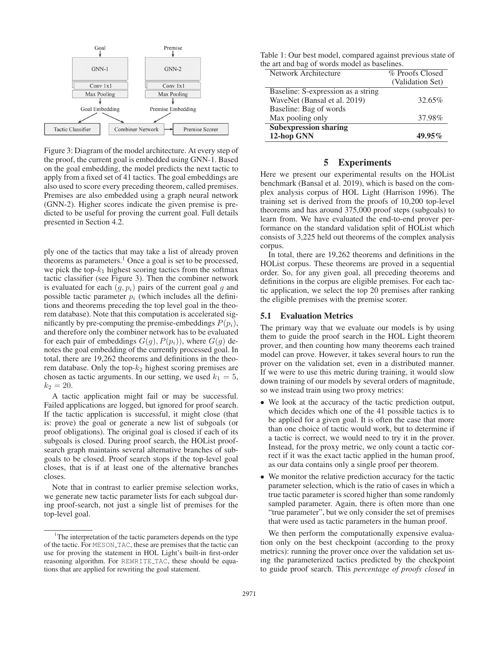

Figure 3: Diagram of the model architecture. At every step of the proof, the current goal is embedded using GNN-1. Based on the goal embedding, the model predicts the next tactic to apply from a fixed set of 41 tactics. The goal embeddings are also used to score every preceding theorem, called premises. Premises are also embedded using a graph neural network (GNN-2). Higher scores indicate the given premise is predicted to be useful for proving the current goal. Full details presented in Section 4.2.

ply one of the tactics that may take a list of already proven theorems as parameters.<sup>1</sup> Once a goal is set to be processed, we pick the top- $k_1$  highest scoring tactics from the softmax tactic classifier (see Figure 3). Then the combiner network is evaluated for each  $(q, p<sub>i</sub>)$  pairs of the current goal q and possible tactic parameter  $p_i$  (which includes all the definitions and theorems preceding the top level goal in the theorem database). Note that this computation is accelerated significantly by pre-computing the premise-embeddings  $P(p_i)$ , and therefore only the combiner network has to be evaluated for each pair of embeddings  $G(q)$ ,  $P(p_i)$ , where  $G(q)$  denotes the goal embedding of the currently processed goal. In total, there are 19,262 theorems and definitions in the theorem database. Only the top- $k_2$  highest scoring premises are chosen as tactic arguments. In our setting, we used  $k_1 = 5$ ,  $k_2 = 20$ .

A tactic application might fail or may be successful. Failed applications are logged, but ignored for proof search. If the tactic application is successful, it might close (that is: prove) the goal or generate a new list of subgoals (or proof obligations). The original goal is closed if each of its subgoals is closed. During proof search, the HOList proofsearch graph maintains several alternative branches of subgoals to be closed. Proof search stops if the top-level goal closes, that is if at least one of the alternative branches closes.

Note that in contrast to earlier premise selection works, we generate new tactic parameter lists for each subgoal during proof-search, not just a single list of premises for the top-level goal.

| Table 1: Our best model, compared against previous state of |  |
|-------------------------------------------------------------|--|
| the art and bag of words model as baselines.                |  |

| Network Architecture               | % Proofs Closed  |  |  |
|------------------------------------|------------------|--|--|
|                                    | (Validation Set) |  |  |
| Baseline: S-expression as a string |                  |  |  |
| WaveNet (Bansal et al. 2019)       | 32.65%           |  |  |
| Baseline: Bag of words             |                  |  |  |
| Max pooling only                   | 37.98%           |  |  |
| <b>Subexpression sharing</b>       |                  |  |  |
| 12-hop GNN                         | 49.95%           |  |  |

## 5 Experiments

Here we present our experimental results on the HOList benchmark (Bansal et al. 2019), which is based on the complex analysis corpus of HOL Light (Harrison 1996). The training set is derived from the proofs of 10,200 top-level theorems and has around 375,000 proof steps (subgoals) to learn from. We have evaluated the end-to-end prover performance on the standard validation split of HOList which consists of 3,225 held out theorems of the complex analysis corpus.

In total, there are 19,262 theorems and definitions in the HOList corpus. These theorems are proved in a sequential order. So, for any given goal, all preceding theorems and definitions in the corpus are eligible premises. For each tactic application, we select the top 20 premises after ranking the eligible premises with the premise scorer.

## 5.1 Evaluation Metrics

The primary way that we evaluate our models is by using them to guide the proof search in the HOL Light theorem prover, and then counting how many theorems each trained model can prove. However, it takes several hours to run the prover on the validation set, even in a distributed manner. If we were to use this metric during training, it would slow down training of our models by several orders of magnitude, so we instead train using two proxy metrics:

- We look at the accuracy of the tactic prediction output, which decides which one of the 41 possible tactics is to be applied for a given goal. It is often the case that more than one choice of tactic would work, but to determine if a tactic is correct, we would need to try it in the prover. Instead, for the proxy metric, we only count a tactic correct if it was the exact tactic applied in the human proof, as our data contains only a single proof per theorem.
- We monitor the relative prediction accuracy for the tactic parameter selection, which is the ratio of cases in which a true tactic parameter is scored higher than some randomly sampled parameter. Again, there is often more than one "true parameter", but we only consider the set of premises that were used as tactic parameters in the human proof.

We then perform the computationally expensive evaluation only on the best checkpoint (according to the proxy metrics): running the prover once over the validation set using the parameterized tactics predicted by the checkpoint to guide proof search. This *percentage of proofs closed* in

<sup>&</sup>lt;sup>1</sup>The interpretation of the tactic parameters depends on the type of the tactic. For MESON TAC, these are premises that the tactic can use for proving the statement in HOL Light's built-in first-order reasoning algorithm. For REWRITE TAC, these should be equations that are applied for rewriting the goal statement.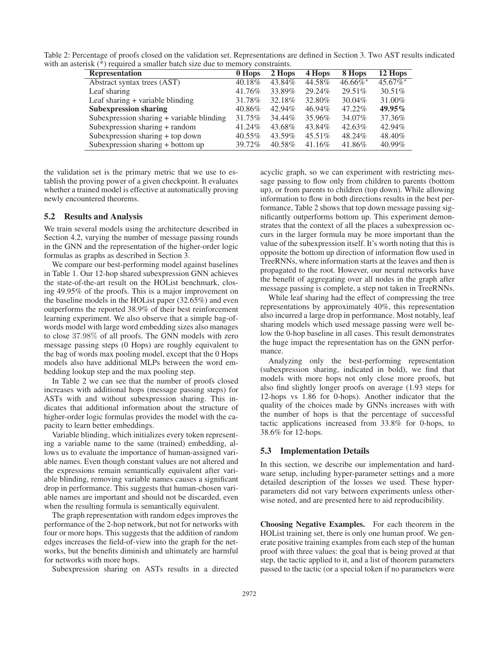Table 2: Percentage of proofs closed on the validation set. Representations are defined in Section 3. Two AST results indicated with an asterisk (\*) required a smaller batch size due to memory constraints.

| <b>Representation</b>                     | 0 Hops | 2 Hops | 4 Hops | 8 Hops      | 12 Hops     |
|-------------------------------------------|--------|--------|--------|-------------|-------------|
| Abstract syntax trees (AST)               | 40.18% | 43.84% | 44.58% | $46.66\%$ * | $45.67\%$ * |
| Leaf sharing                              | 41.76% | 33.89% | 29.24% | 29.51\%     | $30.51\%$   |
| Leaf sharing + variable blinding          | 31.78% | 32.18% | 32.80% | $30.04\%$   | 31.00%      |
| <b>Subexpression sharing</b>              | 40.86% | 42.94% | 46.94% | 47.22%      | $49.95\%$   |
| Subexpression sharing + variable blinding | 31.75% | 34.44% | 35.96% | 34.07%      | 37.36%      |
| Subexpression sharing + random            | 41.24% | 43.68% | 43.84% | 42.63%      | 42.94%      |
| Subexpression sharing + top down          | 40.55% | 43.59% | 45.51% | 48.24%      | 48.40%      |
| Subexpression sharing $+$ bottom up       | 39.72% | 40.58% | 41.16% | 41.86%      | 40.99%      |

the validation set is the primary metric that we use to establish the proving power of a given checkpoint. It evaluates whether a trained model is effective at automatically proving newly encountered theorems.

#### 5.2 Results and Analysis

We train several models using the architecture described in Section 4.2, varying the number of message passing rounds in the GNN and the representation of the higher-order logic formulas as graphs as described in Section 3.

We compare our best-performing model against baselines in Table 1. Our 12-hop shared subexpression GNN achieves the state-of-the-art result on the HOList benchmark, closing 49.95% of the proofs. This is a major improvement on the baseline models in the HOList paper (32.65%) and even outperforms the reported 38.9% of their best reinforcement learning experiment. We also observe that a simple bag-ofwords model with large word embedding sizes also manages to close <sup>37</sup>.98% of all proofs. The GNN models with zero message passing steps (0 Hops) are roughly equivalent to the bag of words max pooling model, except that the 0 Hops models also have additional MLPs between the word embedding lookup step and the max pooling step.

In Table 2 we can see that the number of proofs closed increases with additional hops (message passing steps) for ASTs with and without subexpression sharing. This indicates that additional information about the structure of higher-order logic formulas provides the model with the capacity to learn better embeddings.

Variable blinding, which initializes every token representing a variable name to the same (trained) embedding, allows us to evaluate the importance of human-assigned variable names. Even though constant values are not altered and the expressions remain semantically equivalent after variable blinding, removing variable names causes a significant drop in performance. This suggests that human-chosen variable names are important and should not be discarded, even when the resulting formula is semantically equivalent.

The graph representation with random edges improves the performance of the 2-hop network, but not for networks with four or more hops. This suggests that the addition of random edges increases the field-of-view into the graph for the networks, but the benefits diminish and ultimately are harmful for networks with more hops.

Subexpression sharing on ASTs results in a directed

acyclic graph, so we can experiment with restricting message passing to flow only from children to parents (bottom up), or from parents to children (top down). While allowing information to flow in both directions results in the best performance, Table 2 shows that top down message passing significantly outperforms bottom up. This experiment demonstrates that the context of all the places a subexpression occurs in the larger formula may be more important than the value of the subexpression itself. It's worth noting that this is opposite the bottom up direction of information flow used in TreeRNNs, where information starts at the leaves and then is propagated to the root. However, our neural networks have the benefit of aggregating over all nodes in the graph after message passing is complete, a step not taken in TreeRNNs.

While leaf sharing had the effect of compressing the tree representations by approximately 40%, this representation also incurred a large drop in performance. Most notably, leaf sharing models which used message passing were well below the 0-hop baseline in all cases. This result demonstrates the huge impact the representation has on the GNN performance.

Analyzing only the best-performing representation (subexpression sharing, indicated in bold), we find that models with more hops not only close more proofs, but also find slightly longer proofs on average (1.93 steps for 12-hops vs 1.86 for 0-hops). Another indicator that the quality of the choices made by GNNs increases with with the number of hops is that the percentage of successful tactic applications increased from 33.8% for 0-hops, to 38.6% for 12-hops.

#### 5.3 Implementation Details

In this section, we describe our implementation and hardware setup, including hyper-parameter settings and a more detailed description of the losses we used. These hyperparameters did not vary between experiments unless otherwise noted, and are presented here to aid reproducibility.

Choosing Negative Examples. For each theorem in the HOList training set, there is only one human proof. We generate positive training examples from each step of the human proof with three values: the goal that is being proved at that step, the tactic applied to it, and a list of theorem parameters passed to the tactic (or a special token if no parameters were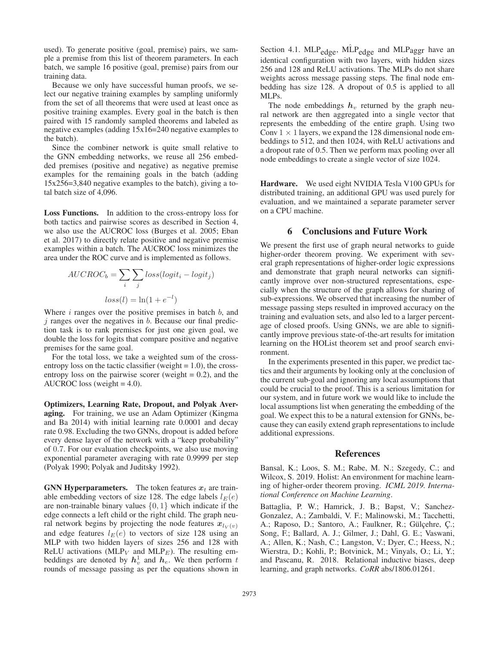used). To generate positive (goal, premise) pairs, we sample a premise from this list of theorem parameters. In each batch, we sample 16 positive (goal, premise) pairs from our training data.

Because we only have successful human proofs, we select our negative training examples by sampling uniformly from the set of all theorems that were used at least once as positive training examples. Every goal in the batch is then paired with 15 randomly sampled theorems and labeled as negative examples (adding 15x16=240 negative examples to the batch).

Since the combiner network is quite small relative to the GNN embedding networks, we reuse all 256 embedded premises (positive and negative) as negative premise examples for the remaining goals in the batch (adding 15x256=3,840 negative examples to the batch), giving a total batch size of 4,096.

Loss Functions. In addition to the cross-entropy loss for both tactics and pairwise scores as described in Section 4, we also use the AUCROC loss (Burges et al. 2005; Eban et al. 2017) to directly relate positive and negative premise examples within a batch. The AUCROC loss minimizes the area under the ROC curve and is implemented as follows.

$$
AUCROC_b = \sum_{i} \sum_{j} loss(logit_i - logit_j)
$$

$$
loss(l) = \ln(1 + e^{-l})
$$

Where  $i$  ranges over the positive premises in batch  $b$ , and  $j$  ranges over the negatives in  $b$ . Because our final prediction task is to rank premises for just one given goal, we double the loss for logits that compare positive and negative premises for the same goal.

For the total loss, we take a weighted sum of the crossentropy loss on the tactic classifier (weight  $= 1.0$ ), the crossentropy loss on the pairwise scorer (weight  $= 0.2$ ), and the AUCROC loss (weight  $= 4.0$ ).

Optimizers, Learning Rate, Dropout, and Polyak Averaging. For training, we use an Adam Optimizer (Kingma and Ba 2014) with initial learning rate 0.0001 and decay rate 0.98. Excluding the two GNNs, dropout is added before every dense layer of the network with a "keep probability" of <sup>0</sup>.7. For our evaluation checkpoints, we also use moving exponential parameter averaging with rate 0.9999 per step (Polyak 1990; Polyak and Juditsky 1992).

**GNN Hyperparameters.** The token features  $x_t$  are trainable embedding vectors of size 128. The edge labels  $l_E(e)$ are non-trainable binary values  $\{0, 1\}$  which indicate if the edge connects a left child or the right child. The graph neural network begins by projecting the node features  $x_{l_V(v)}$ and edge features  $l_E(e)$  to vectors of size 128 using an MLP with two hidden layers of sizes 256 and 128 with ReLU activations (MLP<sub>V</sub> and MLP<sub>E</sub>). The resulting embeddings are denoted by  $h_v^1$  and  $h_e$ . We then perform t rounds of message passing as per the equations shown in rounds of message passing as per the equations shown in Section 4.1.  $MLP_{edge}$ ,  $MLP_{edge}$  and  $MLP_{agger}$  have an identical configuration with two layers, with hidden sizes 256 and 128 and ReLU activations. The MLPs do not share weights across message passing steps. The final node embedding has size 128. A dropout of 0.5 is applied to all MLPs.

The node embeddings  $h<sub>v</sub>$  returned by the graph neural network are then aggregated into a single vector that represents the embedding of the entire graph. Using two Conv  $1 \times 1$  layers, we expand the 128 dimensional node embeddings to 512, and then 1024, with ReLU activations and a dropout rate of 0.5. Then we perform max pooling over all node embeddings to create a single vector of size 1024.

Hardware. We used eight NVIDIA Tesla V100 GPUs for distributed training, an additional GPU was used purely for evaluation, and we maintained a separate parameter server on a CPU machine.

## 6 Conclusions and Future Work

We present the first use of graph neural networks to guide higher-order theorem proving. We experiment with several graph representations of higher-order logic expressions and demonstrate that graph neural networks can significantly improve over non-structured representations, especially when the structure of the graph allows for sharing of sub-expressions. We observed that increasing the number of message passing steps resulted in improved accuracy on the training and evaluation sets, and also led to a larger percentage of closed proofs. Using GNNs, we are able to significantly improve previous state-of-the-art results for imitation learning on the HOList theorem set and proof search environment.

In the experiments presented in this paper, we predict tactics and their arguments by looking only at the conclusion of the current sub-goal and ignoring any local assumptions that could be crucial to the proof. This is a serious limitation for our system, and in future work we would like to include the local assumptions list when generating the embedding of the goal. We expect this to be a natural extension for GNNs, because they can easily extend graph representations to include additional expressions.

## References

Bansal, K.; Loos, S. M.; Rabe, M. N.; Szegedy, C.; and Wilcox, S. 2019. Holist: An environment for machine learning of higher-order theorem proving. *ICML 2019. International Conference on Machine Learning*.

Battaglia, P. W.; Hamrick, J. B.; Bapst, V.; Sanchez-Gonzalez, A.; Zambaldi, V. F.; Malinowski, M.; Tacchetti, A.; Raposo, D.; Santoro, A.; Faulkner, R.; Gülçehre, Ç.; Song, F.; Ballard, A. J.; Gilmer, J.; Dahl, G. E.; Vaswani, A.; Allen, K.; Nash, C.; Langston, V.; Dyer, C.; Heess, N.; Wierstra, D.; Kohli, P.; Botvinick, M.; Vinyals, O.; Li, Y.; and Pascanu, R. 2018. Relational inductive biases, deep learning, and graph networks. *CoRR* abs/1806.01261.